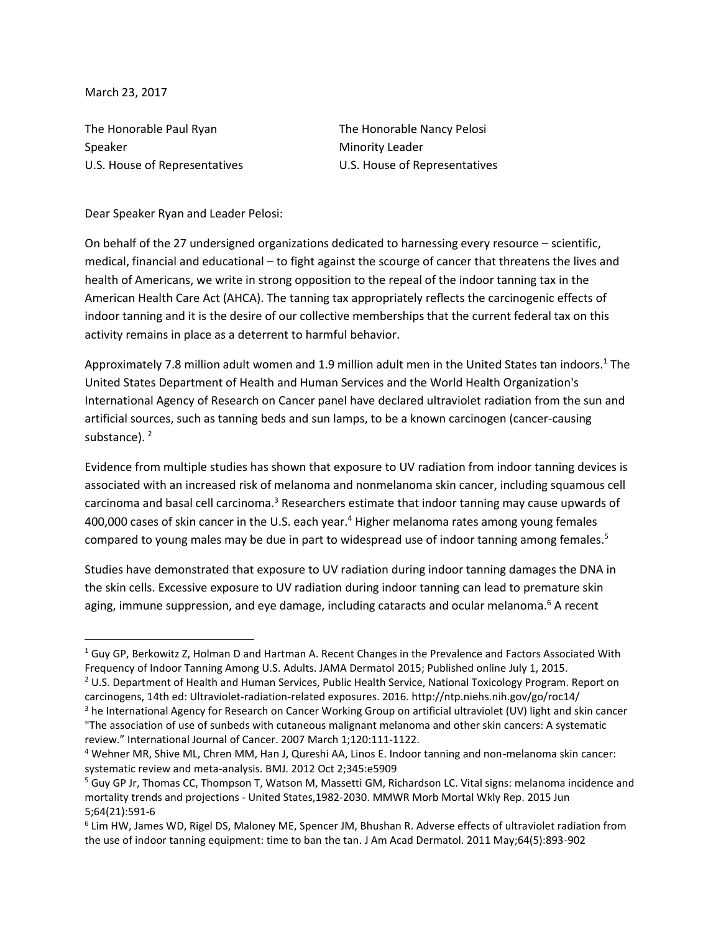March 23, 2017

 $\overline{\phantom{a}}$ 

The Honorable Paul Ryan The Honorable Nancy Pelosi Speaker Minority Leader

U.S. House of Representatives **U.S. House of Representatives** 

Dear Speaker Ryan and Leader Pelosi:

On behalf of the 27 undersigned organizations dedicated to harnessing every resource – scientific, medical, financial and educational – to fight against the scourge of cancer that threatens the lives and health of Americans, we write in strong opposition to the repeal of the indoor tanning tax in the American Health Care Act (AHCA). The tanning tax appropriately reflects the carcinogenic effects of indoor tanning and it is the desire of our collective memberships that the current federal tax on this activity remains in place as a deterrent to harmful behavior.

Approximately 7.8 million adult women and 1.9 million adult men in the United States tan indoors.<sup>1</sup> The United States Department of Health and Human Services and the World Health Organization's International Agency of Research on Cancer panel have declared ultraviolet radiation from the sun and artificial sources, such as tanning beds and sun lamps, to be a known carcinogen (cancer-causing substance).<sup>2</sup>

Evidence from multiple studies has shown that exposure to UV radiation from indoor tanning devices is associated with an increased risk of melanoma and nonmelanoma skin cancer, including squamous cell carcinoma and basal cell carcinoma.<sup>3</sup> Researchers estimate that indoor tanning may cause upwards of 400,000 cases of skin cancer in the U.S. each year.<sup>4</sup> Higher melanoma rates among young females compared to young males may be due in part to widespread use of indoor tanning among females.<sup>5</sup>

Studies have demonstrated that exposure to UV radiation during indoor tanning damages the DNA in the skin cells. Excessive exposure to UV radiation during indoor tanning can lead to premature skin aging, immune suppression, and eye damage, including cataracts and ocular melanoma. $6$  A recent

 $1$  Guy GP, Berkowitz Z, Holman D and Hartman A. Recent Changes in the Prevalence and Factors Associated With Frequency of Indoor Tanning Among U.S. Adults. JAMA Dermatol 2015; Published online July 1, 2015.

<sup>&</sup>lt;sup>2</sup> U.S. Department of Health and Human Services, Public Health Service, National Toxicology Program. Report on carcinogens, 14th ed: Ultraviolet-radiation-related exposures. 2016. http://ntp.niehs.nih.gov/go/roc14/

<sup>3</sup> he International Agency for Research on Cancer Working Group on artificial ultraviolet (UV) light and skin cancer "The association of use of sunbeds with cutaneous malignant melanoma and other skin cancers: A systematic review." International Journal of Cancer. 2007 March 1;120:111-1122.

<sup>4</sup> Wehner MR, Shive ML, Chren MM, Han J, Qureshi AA, Linos E. Indoor tanning and non-melanoma skin cancer: systematic review and meta-analysis. BMJ. 2012 Oct 2;345:e5909

<sup>5</sup> Guy GP Jr, Thomas CC, Thompson T, Watson M, Massetti GM, Richardson LC. Vital signs: melanoma incidence and mortality trends and projections - United States,1982-2030. MMWR Morb Mortal Wkly Rep. 2015 Jun 5;64(21):591-6

<sup>6</sup> Lim HW, James WD, Rigel DS, Maloney ME, Spencer JM, Bhushan R. Adverse effects of ultraviolet radiation from the use of indoor tanning equipment: time to ban the tan. J Am Acad Dermatol. 2011 May;64(5):893-902